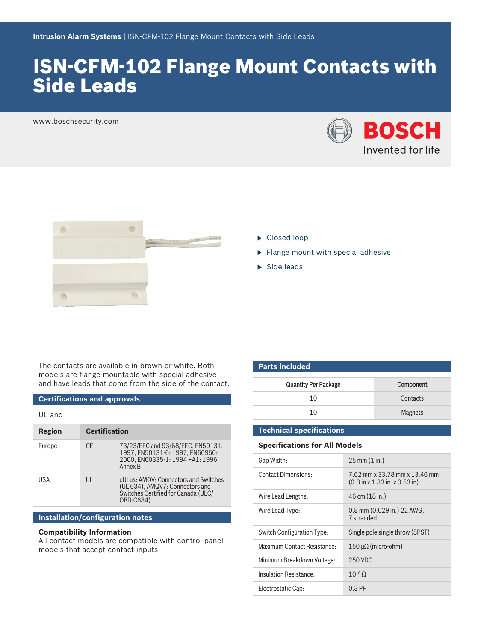# ISN‑CFM‑102 Flange Mount Contacts with Side Leads

www.boschsecurity.com





- $\blacktriangleright$  Closed loop
- $\blacktriangleright$  Flange mount with special adhesive
- $\blacktriangleright$  Side leads

The contacts are available in brown or white. Both models are flange mountable with special adhesive and have leads that come from the side of the contact.

### **Certifications and approvals**

| <b>Certification</b> |                                                                                                                             |
|----------------------|-----------------------------------------------------------------------------------------------------------------------------|
| <b>CE</b>            | 73/23/EEC and 93/68/EEC, EN50131:<br>1997. EN50131-6: 1997. EN60950:<br>2000. EN60335-1: 1994 +A1: 1996<br>Annex B          |
| UL                   | cULus: AMQV: Connectors and Switches<br>(UL 634), AMQV7: Connectors and<br>Switches Certified for Canada (ULC/<br>ORD-C634) |
|                      |                                                                                                                             |

## **Installation/configuration notes**

# **Compatibility Information**

All contact models are compatible with control panel models that accept contact inputs.

| <b>Parts included</b>       |                |  |
|-----------------------------|----------------|--|
| <b>Quantity Per Package</b> | Component      |  |
| 10                          | Contacts       |  |
| 10                          | <b>Magnets</b> |  |

# **Technical specifications**

# **Specifications for All Models**

| Gap Width:                  | $25 \text{ mm} (1 \text{ in.})$                                                            |
|-----------------------------|--------------------------------------------------------------------------------------------|
| <b>Contact Dimensions:</b>  | 7.62 mm x 33.78 mm x 13.46 mm<br>$(0.3 \text{ in } x 1.33 \text{ in. } x 0.53 \text{ in})$ |
| Wire Lead Lengths:          | 46 cm (18 in.)                                                                             |
| Wire Lead Type:             | 0.8 mm (0.029 in.) 22 AWG,<br>7 stranded                                                   |
| Switch Configuration Type:  | Single pole single throw (SPST)                                                            |
| Maximum Contact Resistance: | $150 \mu\Omega$ (micro-ohm)                                                                |
| Minimum Breakdown Voltage:  | 250 VDC                                                                                    |
| Insulation Resistance:      | $10^{10}$ O                                                                                |
| Electrostatic Cap:          | $0.3$ PF                                                                                   |